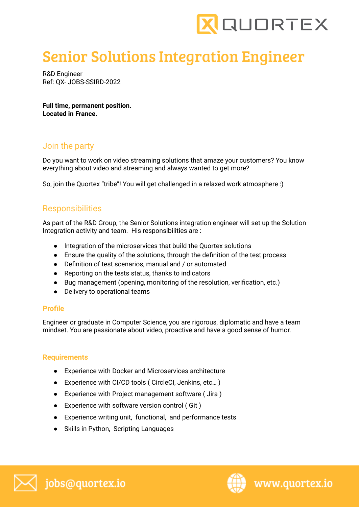

# Senior Solutions Integration Engineer

R&D Engineer Ref: QX- JOBS-SSIRD-2022

**Full time, permanent position. Located in France.**

### Join the party

Do you want to work on video streaming solutions that amaze your customers? You know everything about video and streaming and always wanted to get more?

So, join the Quortex "tribe"! You will get challenged in a relaxed work atmosphere :)

## **Responsibilities**

As part of the R&D Group, the Senior Solutions integration engineer will set up the Solution Integration activity and team. His responsibilities are :

- Integration of the microservices that build the Quortex solutions
- Ensure the quality of the solutions, through the definition of the test process
- Definition of test scenarios, manual and / or automated
- Reporting on the tests status, thanks to indicators
- Bug management (opening, monitoring of the resolution, verification, etc.)
- Delivery to operational teams

#### **Profile**

Engineer or graduate in Computer Science, you are rigorous, diplomatic and have a team mindset. You are passionate about video, proactive and have a good sense of humor.

#### **Requirements**

- Experience with Docker and Microservices architecture
- Experience with CI/CD tools ( CircleCI, Jenkins, etc… )
- Experience with Project management software ( Jira )
- Experience with software version control ( Git )
- Experience writing unit, functional, and performance tests
- Skills in Python, Scripting Languages